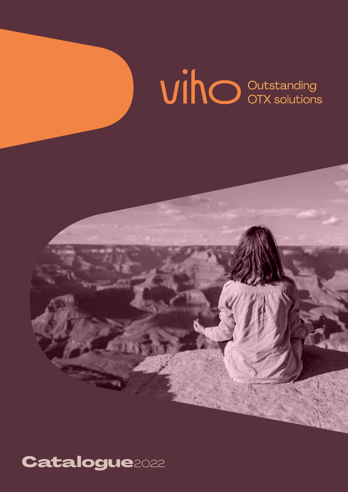# **VinO** Outstanding

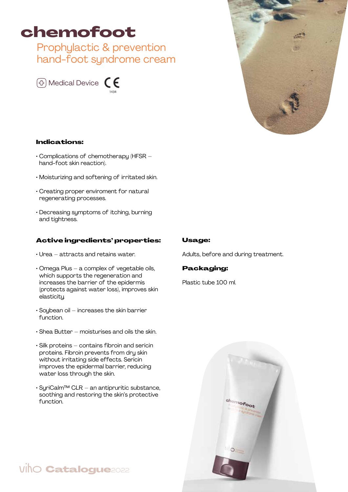## chemofoot

Prophylactic & prevention hand-foot syndrome cream





## Indications:

- Complications of chemotherapy (HFSR hand-foot skin reaction).
- Moisturizing and softening of irritated skin.
- Creating proper enviroment for natural regenerating processes.
- Decreasing symptoms of itching, burning and tightness.

## Active ingredients' properties:

- Urea attracts and retains water.
- Omega Plus a complex of vegetable oils, which supports the regeneration and increases the barrier of the epidermis (protects against water loss), improves skin elasticity.
- $\cdot$  Soubean oil increases the skin barrier function.
- Shea Butter moisturises and oils the skin.
- Silk proteins contains fibroin and sericin proteins. Fibroin prevents from dry skin without irritating side effects. Sericin improves the epidermal barrier, reducing water loss through the skin.
- SyriCalm™ CLR an antipruritic substance, soothing and restoring the skin's protective function.

## Usage:

Adults, before and during treatment.

## Packaging:

Plastic tube 100 ml.



## viho **Catalogue**2022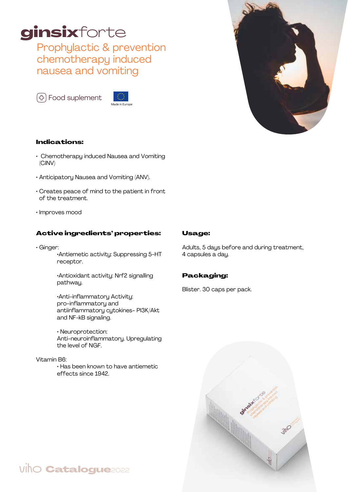# ginsixforte

Prophylactic & prevention chemotherapy induced nausea and vomiting

<sup>(</sup><sub>)</sub> Food suplement





## Indications:

- Chemotherapy induced Nausea and Vomiting (CINV)
- Anticipatory Nausea and Vomiting (ANV).
- Creates peace of mind to the patient in front of the treatment.
- Improves mood

## Active ingredients' properties:

• Ginger:

 •Antiemetic activity: Suppressing 5-HT receptor.

 •Antioxidant activity: Nrf2 signalling pathway.

 •Anti-inflammatory Activity: pro-inflammatory and antiinflammatory cytokines- PI3K/Akt and NF-kB signaling.

 • Neuroprotection: Anti-neuroinflammatory. Upregulating the level of NGF.

#### Vitamin B6:

 • Has been known to have antiemetic effects since 1942.

## viho **Catalogue**2022

## Usage:

Adults, 5 days before and during treatment, 4 capsules a day.

## Packaging:

Blister. 30 caps per pack.

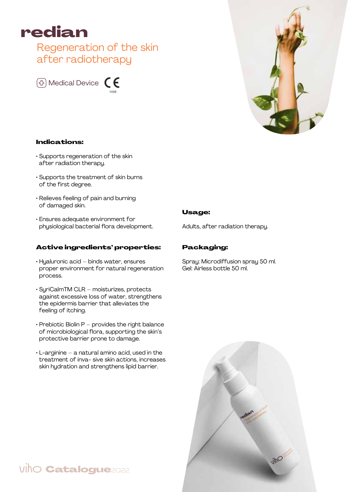

## Regeneration of the skin after radiotherapy



## Indications:

- Supports regeneration of the skin after radiation therapy.
- Supports the treatment of skin burns of the first degree.
- Relieves feeling of pain and burning of damaged skin.
- Ensures adequate environment for physiological bacterial flora development.

#### Active ingredients' properties:

- Hyaluronic acid binds water, ensures proper environment for natural regeneration process.
- SyriCalmTM CLR moisturizes, protects against excessive loss of water, strengthens the epidermis barrier that alleviates the feeling of itching.
- $\cdot$  Prebiotic Biolin P provides the right balance of microbiological flora, supporting the skin's protective barrier prone to damage.
- $\cdot$  L-arginine a natural amino acid, used in the treatment of inva- sive skin actions, increases skin hydration and strengthens lipid barrier.

- 
- Usage:

Adults, after radiation therapy.

## Packaging:

Spray: Microdiffusion spray 50 ml. Gel: Airless bottle 50 ml.



## **VihO Catalogue**2022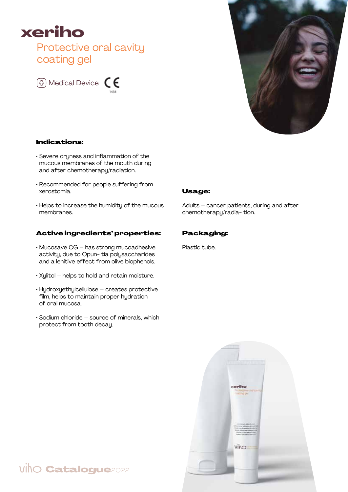

## Protective oral cavity coating gel





## Indications:

- Severe dryness and inflammation of the mucous membranes of the mouth during and after chemotherapy/radiation.
- Recommended for people suffering from xerostomia.
- Helps to increase the humidity of the mucous membranes.

#### Active ingredients' properties:

- Mucosave CG has strong mucoadhesive activity, due to Opun- tia polysaccharides and a lenitive effect from olive biophenols.
- Xylitol helps to hold and retain moisture.
- Hydroxyethylcellulose creates protective film, helps to maintain proper hydration of oral mucosa.
- Sodium chloride source of minerals, which protect from tooth decay.

#### Usage:

Adults – cancer patients, during and after chemotherapy/radia- tion.

#### Packaging:

Plastic tube.



## viho **Catalogue**2022